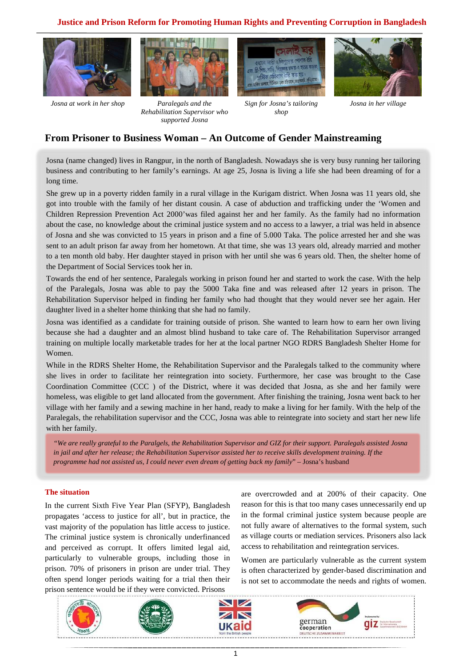## **Justice and Prison Reform for Promoting Human Rights and Preventing Corruption in Bangladesh**



*Josna at work in her shop Paralegals and the* 



*Rehabilitation Supervisor who supported Josna* 



*Sign for Josna's tailoring shop* 



*Josna in her village* 

# **From Prisoner to Business Woman – An Outcome of Gender Mainstreaming**

Josna (name changed) lives in Rangpur, in the north of Bangladesh. Nowadays she is very busy running her tailoring business and contributing to her family's earnings. At age 25, Josna is living a life she had been dreaming of for a long time.

She grew up in a poverty ridden family in a rural village in the Kurigam district. When Josna was 11 years old, she got into trouble with the family of her distant cousin. A case of abduction and trafficking under the 'Women and Children Repression Prevention Act 2000'was filed against her and her family. As the family had no information about the case, no knowledge about the criminal justice system and no access to a lawyer, a trial was held in absence of Josna and she was convicted to 15 years in prison and a fine of 5.000 Taka. The police arrested her and she was sent to an adult prison far away from her hometown. At that time, she was 13 years old, already married and mother to a ten month old baby. Her daughter stayed in prison with her until she was 6 years old. Then, the shelter home of the Department of Social Services took her in.

Towards the end of her sentence, Paralegals working in prison found her and started to work the case. With the help of the Paralegals, Josna was able to pay the 5000 Taka fine and was released after 12 years in prison. The Rehabilitation Supervisor helped in finding her family who had thought that they would never see her again. Her daughter lived in a shelter home thinking that she had no family.

Josna was identified as a candidate for training outside of prison. She wanted to learn how to earn her own living because she had a daughter and an almost blind husband to take care of. The Rehabilitation Supervisor arranged training on multiple locally marketable trades for her at the local partner NGO RDRS Bangladesh Shelter Home for Women.

While in the RDRS Shelter Home, the Rehabilitation Supervisor and the Paralegals talked to the community where she lives in order to facilitate her reintegration into society. Furthermore, her case was brought to the Case Coordination Committee (CCC ) of the District, where it was decided that Josna, as she and her family were homeless, was eligible to get land allocated from the government. After finishing the training, Josna went back to her village with her family and a sewing machine in her hand, ready to make a living for her family. With the help of the Paralegals, the rehabilitation supervisor and the CCC, Josna was able to reintegrate into society and start her new life with her family.

*"We are really grateful to the Paralgels, the Rehabilitation Supervisor and GIZ for their support. Paralegals assisted Josna in jail and after her release; the Rehabilitation Supervisor assisted her to receive skills development training. If the programme had not assisted us, I could never even dream of getting back my family*" – Josna's husband

### **The situation**

In the current Sixth Five Year Plan (SFYP), Bangladesh propagates 'access to justice for all', but in practice, the vast majority of the population has little access to justice. The criminal justice system is chronically underfinanced and perceived as corrupt. It offers limited legal aid, particularly to vulnerable groups, including those in prison. 70% of prisoners in prison are under trial. They often spend longer periods waiting for a trial then their prison sentence would be if they were convicted. Prisons

are overcrowded and at 200% of their capacity. One reason for this is that too many cases unnecessarily end up in the formal criminal justice system because people are not fully aware of alternatives to the formal system, such as village courts or mediation services. Prisoners also lack access to rehabilitation and reintegration services.

Women are particularly vulnerable as the current system is often characterized by gender-based discrimination and is not set to accommodate the needs and rights of women.

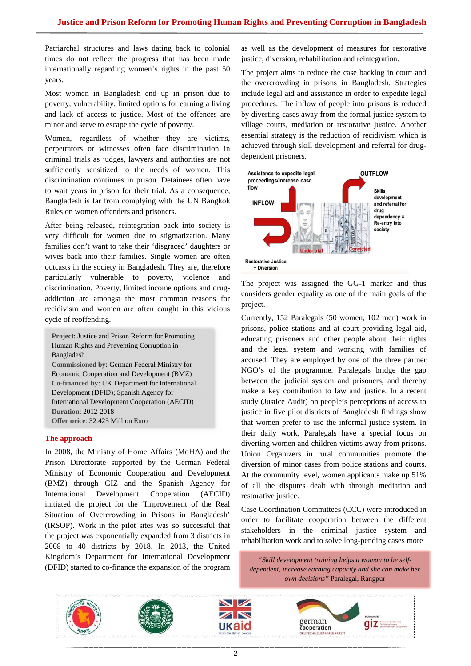Patriarchal structures and laws dating back to colonial times do not reflect the progress that has been made internationally regarding women's rights in the past 50 years.

Most women in Bangladesh end up in prison due to poverty, vulnerability, limited options for earning a living and lack of access to justice. Most of the offences are minor and serve to escape the cycle of poverty.

Women, regardless of whether they are victims, perpetrators or witnesses often face discrimination in criminal trials as judges, lawyers and authorities are not sufficiently sensitized to the needs of women. This discrimination continues in prison. Detainees often have to wait years in prison for their trial. As a consequence, Bangladesh is far from complying with the UN Bangkok Rules on women offenders and prisoners.

After being released, reintegration back into society is very difficult for women due to stigmatization. Many families don't want to take their 'disgraced' daughters or wives back into their families. Single women are often outcasts in the society in Bangladesh. They are, therefore particularly vulnerable to poverty, violence and discrimination. Poverty, limited income options and drugaddiction are amongst the most common reasons for recidivism and women are often caught in this vicious cycle of reoffending.

**Project**: Justice and Prison Reform for Promoting Human Rights and Preventing Corruption in Bangladesh **Commissioned by**: German Federal Ministry for Economic Cooperation and Development (BMZ) **Co-financed by**: UK Department for International Development (DFID); Spanish Agency for International Development Cooperation (AECID) **Duration**: 2012-2018 **Offer price**: 32,425 Million Euro

### **The approach**

In 2008, the Ministry of Home Affairs (MoHA) and the Prison Directorate supported by the German Federal Ministry of Economic Cooperation and Development (BMZ) through GIZ and the Spanish Agency for International Development Cooperation (AECID) initiated the project for the 'Improvement of the Real Situation of Overcrowding in Prisons in Bangladesh' (IRSOP). Work in the pilot sites was so successful that the project was exponentially expanded from 3 districts in 2008 to 40 districts by 2018. In 2013, the United Kingdom's Department for International Development (DFID) started to co-finance the expansion of the program

as well as the development of measures for restorative justice, diversion, rehabilitation and reintegration.

The project aims to reduce the case backlog in court and the overcrowding in prisons in Bangladesh. Strategies include legal aid and assistance in order to expedite legal procedures. The inflow of people into prisons is reduced by diverting cases away from the formal justice system to village courts, mediation or restorative justice. Another essential strategy is the reduction of recidivism which is achieved through skill development and referral for drugdependent prisoners.



The project was assigned the GG-1 marker and thus considers gender equality as one of the main goals of the project.

Currently, 152 Paralegals (50 women, 102 men) work in prisons, police stations and at court providing legal aid, educating prisoners and other people about their rights and the legal system and working with families of accused. They are employed by one of the three partner NGO's of the programme. Paralegals bridge the gap between the judicial system and prisoners, and thereby make a key contribution to law and justice. In a recent study (Justice Audit) on people's perceptions of access to justice in five pilot districts of Bangladesh findings show that women prefer to use the informal justice system. In their daily work, Paralegals have a special focus on diverting women and children victims away from prisons. Union Organizers in rural communities promote the diversion of minor cases from police stations and courts. At the community level, women applicants make up 51% of all the disputes dealt with through mediation and restorative justice.

Case Coordination Committees (CCC) were introduced in order to facilitate cooperation between the different stakeholders in the criminal justice system and rehabilitation work and to solve long-pending cases more

*"Skill development training helps a woman to be selfdependent, increase earning capacity and she can make her own decisions"* Paralegal, Rangpur

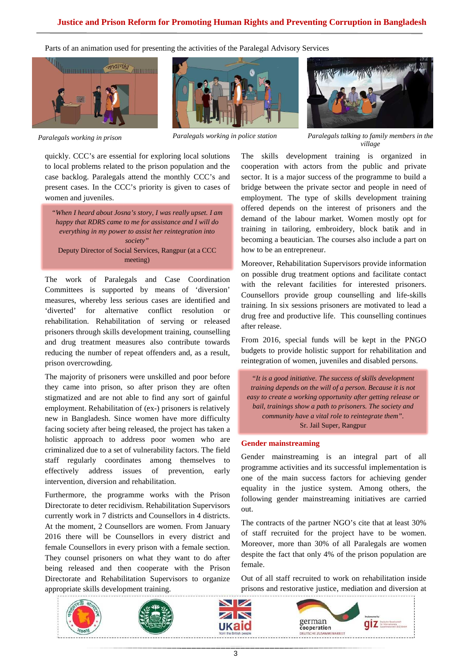Parts of an animation used for presenting the activities of the Paralegal Advisory Services







quickly. CCC's are essential for exploring local solutions to local problems related to the prison population and the case backlog. Paralegals attend the monthly CCC's and present cases. In the CCC's priority is given to cases of women and juveniles.

*"When I heard about Josna's story, I was really upset. I am happy that RDRS came to me for assistance and I will do everything in my power to assist her reintegration into society"*  Deputy Director of Social Services, Rangpur (at a CCC meeting)

The work of Paralegals and Case Coordination Committees is supported by means of 'diversion' measures, whereby less serious cases are identified and 'diverted' for alternative conflict resolution rehabilitation. Rehabilitation of serving or released prisoners through skills development training, counselling and drug treatment measures also contribute towards reducing the number of repeat offenders and, as a result, prison overcrowding.

The majority of prisoners were unskilled and poor before they came into prison, so after prison they are often stigmatized and are not able to find any sort of gainful employment. Rehabilitation of (ex-) prisoners is relatively new in Bangladesh. Since women have more difficulty facing society after being released, the project has taken a holistic approach to address poor women who are criminalized due to a set of vulnerability factors. The field staff regularly coordinates among themselves to effectively address issues of prevention, early intervention, diversion and rehabilitation.

Furthermore, the programme works with the Prison Directorate to deter recidivism. Rehabilitation Supervisors currently work in 7 districts and Counsellors in 4 districts. At the moment, 2 Counsellors are women. From January 2016 there will be Counsellors in every district and female Counsellors in every prison with a female section. They counsel prisoners on what they want to do after being released and then cooperate with the Prison Directorate and Rehabilitation Supervisors to organize appropriate skills development training.



*Paralegals working in prison Paralegals working in police station Paralegals talking to family members in the village* 

The skills development training is organized in cooperation with actors from the public and private sector. It is a major success of the programme to build a bridge between the private sector and people in need of employment. The type of skills development training offered depends on the interest of prisoners and the demand of the labour market. Women mostly opt for training in tailoring, embroidery, block batik and in becoming a beautician. The courses also include a part on how to be an entrepreneur.

Moreover, Rehabilitation Supervisors provide information on possible drug treatment options and facilitate contact with the relevant facilities for interested prisoners. Counsellors provide group counselling and life-skills training. In six sessions prisoners are motivated to lead a drug free and productive life. This counselling continues after release.

From 2016, special funds will be kept in the PNGO budgets to provide holistic support for rehabilitation and reintegration of women, juveniles and disabled persons.

*"It is a good initiative. The success of skills development training depends on the will of a person. Because it is not easy to create a working opportunity after getting release or bail, trainings show a path to prisoners. The society and community have a vital role to reintegrate them".*  Sr. Jail Super, Rangpur

### **Gender mainstreaming**

Gender mainstreaming is an integral part of all programme activities and its successful implementation is one of the main success factors for achieving gender equality in the justice system. Among others, the following gender mainstreaming initiatives are carried out.

The contracts of the partner NGO's cite that at least 30% of staff recruited for the project have to be women. Moreover, more than 30% of all Paralegals are women despite the fact that only 4% of the prison population are female.

Out of all staff recruited to work on rehabilitation inside prisons and restorative justice, mediation and diversion at